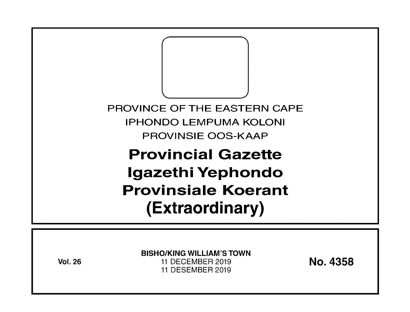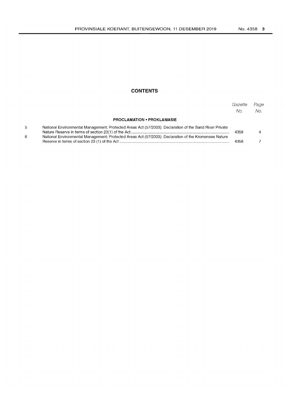## **CONTENTS**

|    |                                                                                                         | Gazette<br>No. | Page<br>No. |
|----|---------------------------------------------------------------------------------------------------------|----------------|-------------|
|    | <b>PROCLAMATION • PROKLAMASIE</b>                                                                       |                |             |
| 5. | National Environmental Management: Protected Areas Act (57/2003): Declaration of the Sand River Private | 4358           |             |
| 6. | National Environmental Management: Protected Areas Act (57/2003): Declaration of the Kromensee Nature   | 4358           |             |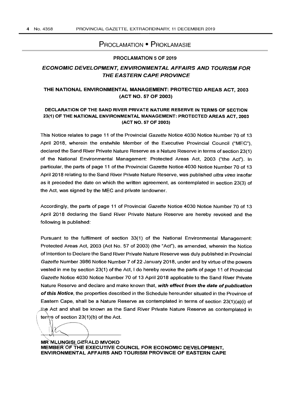# PROCLAMATION • PROKLAMASIE

### PROCLAMATION 5 OF 2019

# ECONOMIC DEVELOPMENT, ENVIRONMENTAL AFFAIRS AND TOURISM FOR THE EASTERN CAPE PROVINCE

## THE NATIONAL ENVIRONMENTAL MANAGEMENT: PROTECTED AREAS ACT, 2003 (ACT NO. 57 OF 2003)

### DECLARATION OF THE SAND RIVER PRIVATE NATURE RESERVE IN TERMS OF SECTION 23(1) OF THE NATIONAL ENVIRONMENTAL MANAGEMENT: PROTECTED AREAS ACT, 2003 (ACT NO. 57 OF 2003)

This Notice relates to page 11 of the Provincial Gazette Notice 4030 Notice Number 70 of 13 April 2018, wherein the erstwhile Member of the Executive Provincial Council ("MEC"), declared the Sand River Private Nature Reserve as a Nature Reserve in terms of section 23(1) of the National Environmental Management: Protected Areas Act, 2003 ("the Act"). In particular, the parts of page 11 of the Provincial Gazette Notice 4030 Notice Number 70 of 13 April 2018 relating to the Sand River Private Nature Reserve, was published *ultra vires* insofar as it preceded the date on which the written agreement, as contemplated in section 23(3) of the Act, was signed by the MEC and private landowner.

Accordingly, the parts of page 11 of Provincial Gazette Notice 4030 Notice Number 70 of 13 April 2018 declaring the Sand River Private Nature Reserve are hereby revoked and the following is published:

Pursuant to the fulfilment of section 33(1) of the National Environmental Management: Protected Areas Act, 2003 (Act No. 57 of 2003) (the "Act"), as amended, wherein the Notice of Intention to Declare the Sand River Private Nature Reserve was duly published in Provincial Gazette Number 3986 Notice Number 7 of 22 January 2018, under and by virtue of the powers vested in me by section 23(1) of the Act, I do hereby revoke the parts of page 11 of Provincial Gazette Notice 4030 Notice Number 70 of 13 April 2018 applicable to the Sand River Private Nature Reserve and declare and make known that, with effect from the date of publication of this Notice, the properties described in the Schedule hereunder situated in the Province of Eastern Cape, shall be a Nature Reserve as contemplated in terms of section 23(1)(a)(i) of the Act and shall be known as the Sand River Private Nature Reserve as contemplated in terms of section 23(1)(b) of the Act.

MR`MLUNGISI GERALD MVOKO MEMBER OF THE EXECUTIVE COUNCIL FOR ECONOMIC DEVELOPMENT, ENVIRONMENTAL AFFAIRS AND TOURISM PROVINCE OF EASTERN CAPE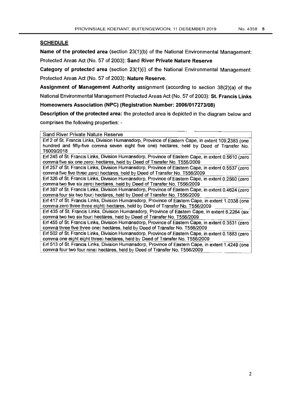# **SCHEDULE**

Name of the protected area (section 23(1)(b) of the National Environmental Management: Protected Areas Act (No. 57 of 2003): Sand River Private Nature Reserve

Category of protected area (section 23(1)(i) of the National Environmental Management: Protected Areas Act (No. 57 of 2003): Nature Reserve.

Assignment of Management Authority assignment (according to section 38(2)(a) of the National Environmental Management Protected Areas Act (No. 57 of 2003): St. Francis Links

Homeowners Association (NPC) (Registration Number: 2006/017273/08)

Description of the protected area: the protected area is depicted in the diagram below and comprises the following properties: -

Sand River Private Nature Reserve

Erf 2 of 5t. Francis Links, Division Humansdorp, Province of Eastern Cape, in extent 109,2383 (one hundred and fifty-five comma seven eight five one) hectares, held by Deed of Transfer No. *T6009/2018* 

Erf 245 of 5t. Francis Links, Division Humansdorp, Province of Eastem Cape, in extent 0.5610 (zero comma five six one zero) hectares, held by Deed of Transfer No. T556/2009

Erf 257 of 5t. Francis Links, Division Humansdorp, Province of Eastern Cape, in extent 0.5537 (zero comma five five three zero) hectares, held by Deed of Transfer No. *T556/2009* 

Erf 326 of St. Francis Links, Division Humansdorp, Province of Eastern Cape, in extent 0.2560 (zero comma two five six zero) hectares, held by Deed of Transfer No. T556/2009-

Erf 397 of 5t. Francis Links, Division Humansdorp, Province of Eastern Cape, in extent 0.4624 (zero comma four six two four) hectares, held by Deed of Transfer No. T556/2009

Erf 417 of 5t. Francis Links, Division Humansdorp, Province of Eastern Cape, in extent 1.0338 (one comma zero three three eight) hectares, held by Deed of Transfer No. *T556/2009* 

Erf 435 of 5t. Francis Links, Division Humansdorp, Province of Eastem Cape, in extent 6.2264 (six comma two two six four) hectares, held by Deed of Transfer No. T556/2009

Erf 455 of 5t. Francis Links, Division Humansdorp. Province of Eastern Cape, in extent 0.3531 (zero comma three five three one) hectares, held by Deed of Transfer No. T556/2009

Erf 502 of 5t. Francis Links, Division Humansdorp, Province of Eastern Cape, in extent 0.1883 (zero comma one eight eight three) hectares, held by Deed of Transfer No. T556/2009

Erf 513 of St. Francis Links, Division Humansdorp, Province of Eastern Cape, in extent 1.4249 (one<br>comma four two four nine) hectares, held by Deed of Transfer No. T556/2009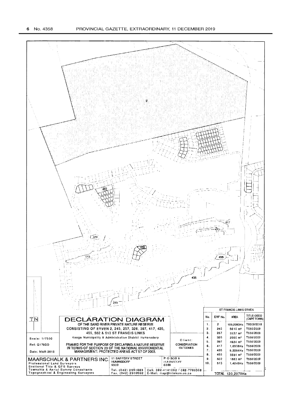#### 6 No. 4358

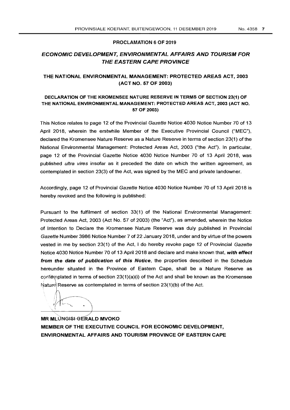### PROCLAMATION 6 OF 2019

# ECONOMIC DEVELOPMENT, ENVIRONMENTAL AFFAIRS AND TOURISM FOR THE EASTERN CAPE PROVINCE

## THE NATIONAL ENVIRONMENTAL MANAGEMENT: PROTECTED AREAS ACT, 2003 (ACT NO. 57 OF 2003)

### DECLARATION OF THE KROMENSEE NATURE RESERVE IN TERMS OF SECTION 23(1) OF THE NATIONAL ENVIRONMENTAL MANAGEMENT: PROTECTED AREAS ACT, 2003 (ACT NO. 57 OF 2003)

This Notice relates to page 12 of the Provincial Gazette Notice 4030 Notice Number 70 of 13 April 2018, wherein the erstwhile Member of the Executive Provincial Council ("MEC"), declared the Kromensee Nature Reserve as a Nature Reserve in terms of section 23(1) of the National Environmental Management: Protected Areas Act, 2003 ("the Act"). In particular, page 12 of the Provincial Gazette Notice 4030 Notice Number 70 of 13 April 2018, was published *ultra vires* insofar as it preceded the date on which the written agreement, as contemplated in section 23(3) of the Act, was signed by the MEC and private landowner.

Accordingly, page 12 of Provincial Gazette Notice 4030 Notice Number 70 of 13 April 2018 is hereby revoked and the following is published:

Pursuant to the fulfilment of section 33(1) of the National Environmental Management: Protected Areas Act, 2003 (Act No. 57 of 2003) (the "Act"), as amended, wherein the Notice of Intention to Declare the Kromensee Nature Reserve was duly published in Provincial Gazette Number 3986 Notice Number 7 of 22 January 2018, under and by virtue of the powers vested in me by section 23(1) of the Act, I do hereby revoke page 12 of Provincial Gazette Notice 4030 Notice Number 70 of 13 April 2018 and declare and make known that, with effect from the date of publication of this Notice, the properties described in the Schedule hereunder situated in the Province of Eastern Cape, shall be a Nature Reserve as confemplated in terms of section  $23(1)(a)(i)$  of the Act and shall be known as the Kromensee Nature Reserve as contemplated in terms of section  $23(1)(b)$  of the Act.

 $\sqrt[1]{1}$ .

**MR MLUNGISI-GERALD MVOKO** MEMBER OF THE EXECUTIVE COUNCIL FOR ECONOMIC DEVELOPMENT, ENVIRONMENTAL AFFAIRS AND TOURISM PROVINCE OF EASTERN CAPE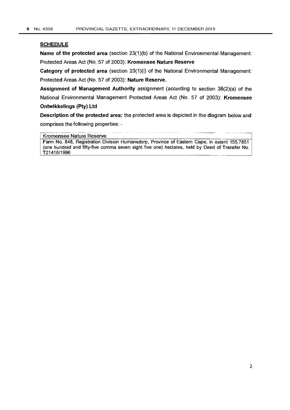### **SCHEDULE**

Name of the protected area (section 23(1)(b) of the National Environmental Management: Protected Areas Act (No. 57 of 2003): Kromensee Nature Reserve

Category of protected area (section 23(1)(i) of the National Environmental Management: Protected Areas Act (No. 57 of 2003): Nature Reserve.

Assignment of Management Authority assignment (according to section 38(2)(a) of the National Environmental Management Protected Areas Act (No. 57 of 2003): Kromensee Ontwikkelings (Pty) Ltd

Description of the protected area: the protected area is depicted in the diagram below and comprises the following properties: -

### Kromensee Nature Reserve

Farm No. 848, Registration Division Humansdorp, Province of Eastern Cape, in extent 155,7851 (one hundred and fifty-five comma seven eight five one) hectares, held by Deed of Transfer No. T21416/1996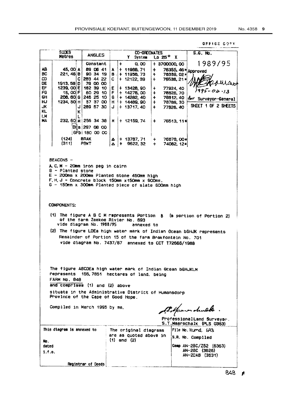OFFICE COPY **SIDES CO-ORDINATES**  $S.G.$  No. **ANGLES**  $\overline{25^\circ}$  X **Metres** Y System 1989/95 Constant  $\ddot{\phantom{a}}$  $0.00$ + 3700000,00 76355, 46 \* Approved AR. 45, 00 A 89 06 41 + 11988, 71  $\ddot{}$ **BC** 221.46 B 90 34 19 + 11956, 73  $\mathbf{B}$ 763B9, 02\* ÷ 283 44 22 ch C.  $\mathbf C$  $+ 12122.39$ 76538, 21\*  $\ddotmark$ uraio DE 1913.58 D 79 00 00 EF  $1239.00 \text{ E}$ 182 39 10  $+ 13428,90$ E 77924, 40  $\ddot{\phantom{1}}$  $04.13$ FΩ 60 29 10 15, 00 F F  $+ 14278,00$  $\ddot{\bullet}$ 78826, 70  $+ 14282.40$ GH 208, 80 G 246 25 10 G  $\ddot{+}$ 76812, 40 for Surveyor-General 1234, 50 H нJ 57 37 00  $+ 14489,90$  $H$  $\ddot{\phantom{1}}$ 78789, 30 SHEET 1 OF 2 SHEETS JK. 289 57 30  $\mathbf{I}$ J  $+ 13717.40$  $\ddot{\bullet}$ 77826.40 KL K LM **HA** 232, 60 M 256 34 38 M + 12159, 74 76513, 11\*  $\ddot{\bullet}$ DEa 297 08 00 GFb 180 00 00 **RDAK**  $+ 13787, 71$ (124) 76878,00\* Δ  $\ddot{}$  $(311)$ PBKT  $|A|$  + 9622.32  $\ddotmark$ 74082, 12\* BEACONS -A.C.M - 20mm iron peg in cairn  $B -$  Planted stone  $E - 200$ mm x 200mm Planted stone 450mm high F.H.J - Concrete block 150mm x 150mm x 900mm. G - 150mm x 300mm Planted piece of slate 600mm high **COMPONENTS:** (1) The figure  $A \oplus C$  M represents Portion  $B$ (a portion of Portion 2) of the farm Zeekoe Rivier No. 693 vide diagram No. 1988/95 annexed to (2) The figure LDEa high water mark of Indian Ocean bGHJK represents Remainder of Portion 15 of the farm Brakfontein No. 701 vide diagram No. 7437/87 annexed to CCT T72666/1988 The figure ABCDEa high water mark of Indian Ocean bGHJKLM represents 155, 7851 hectares of land, being FARM No. 848 and comprises (1) and (2) above situate in the Administrative District of Humansdorp Province of the Cape of Good Hope. Compiled in March 1995 by me. Poponen drukk ProfessionalLand Surveyor. S.T.Maarschalk (PLS 0363) This diagram is annexed to The original diagrams File No. Humd. 693 are as quoted above in S.A. No. Compiled  $(1)$  and  $(2)$ No. dated Comp AN-2BC/Z52 (6363) AN-2BC (3626)<br>AN-2DAB (3631)  $1.1.0.$ Registrar of Deeds